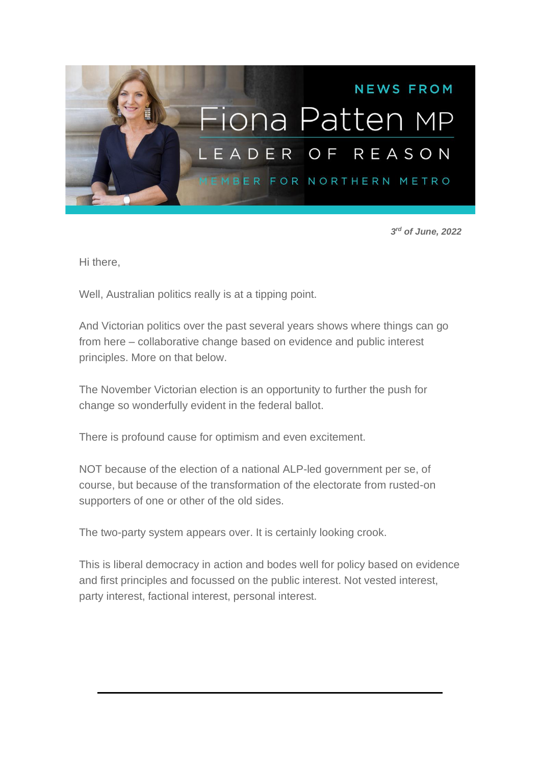

*3 rd of June, 2022*

Hi there,

Well, Australian politics really is at a tipping point.

And Victorian politics over the past several years shows where things can go from here – collaborative change based on evidence and public interest principles. More on that below.

The November Victorian election is an opportunity to further the push for change so wonderfully evident in the federal ballot.

There is profound cause for optimism and even excitement.

NOT because of the election of a national ALP-led government per se, of course, but because of the transformation of the electorate from rusted-on supporters of one or other of the old sides.

The two-party system appears over. It is certainly looking crook.

This is liberal democracy in action and bodes well for policy based on evidence and first principles and focussed on the public interest. Not vested interest, party interest, factional interest, personal interest.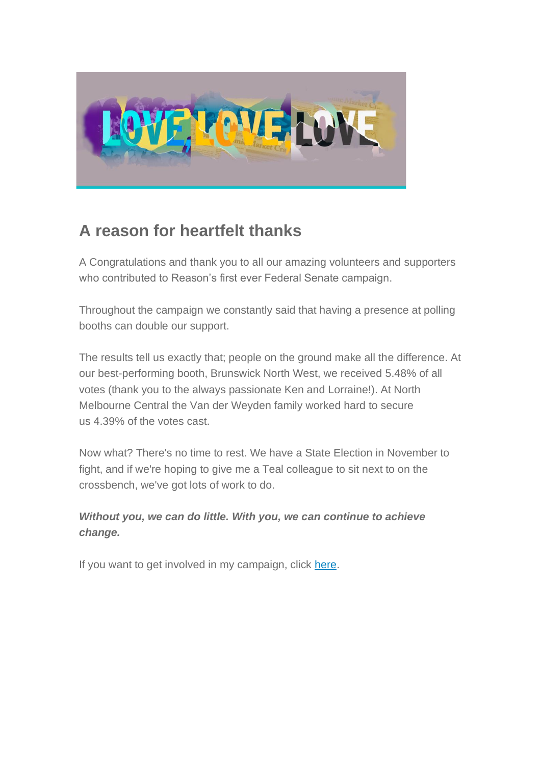

### **A reason for heartfelt thanks**

A Congratulations and thank you to all our amazing volunteers and supporters who contributed to Reason's first ever Federal Senate campaign.

Throughout the campaign we constantly said that having a presence at polling booths can double our support.

The results tell us exactly that; people on the ground make all the difference. At our best-performing booth, Brunswick North West, we received 5.48% of all votes (thank you to the always passionate Ken and Lorraine!). At North Melbourne Central the Van der Weyden family worked hard to secure us 4.39% of the votes cast.

Now what? There's no time to rest. We have a State Election in November to fight, and if we're hoping to give me a Teal colleague to sit next to on the crossbench, we've got lots of work to do.

*Without you, we can do little. With you, we can continue to achieve change.*

If you want to get involved in my campaign, click [here.](https://aus01.safelinks.protection.outlook.com/?url=https%3A%2F%2Fu6095790.ct.sendgrid.net%2Fls%2Fclick%3Fupn%3DgYbRhGOvY5JfjNuWEJqh29Fvgb3I2BmYoLT6UPQmIoZN0EMKMchGmhcH5iwfGoytwYyNKciRKT8nPdtR5cOsrg-3D-3DUMx3_YxCxpoge33FNHhRVcK23dzCKvzWEljt6o2Tk1TMgSSCU-2F8bfJnnLPIcEjt4D1ys57jAjbdXQBH9jp9fuNPc-2Bfu31Or33E9nuXfXZdHVurPFby7AAxHZOKd0M9-2FdsuCVEeCwzWJPpRQunj0LrFTVc4OwJF76HieXFqrsL2OekQW8scqxNkIjvIlqHU5EZ7SV3p4zvMpzli58Z5hEEt5o8FWJYVLogXJFRDU-2BfDHTm0AoA4Fw5tsmOToj2EXPp6s2xAnjohuHubxtxaW33G4ndPcLOBqoiMsfcs8ROFOf4pzQ9hI4CGC-2F5gKJVpOdM-2BgNEHZ16DVmUNvo3KUwa2zxBW40O7JHLXMStUYE7DJIh5T-2B2PT8qJHx4wFxItCuegruT0ceSVMHzyhrxQZRI8Q5gKzl-2BttcW4bP7-2B-2F4Py16TlkBTN4XPSWCB30WeyCvy9BcsjuzbA47yKBFwqNsmG1GD-2FpU2wY-2FMurfmZknyaPon5Ro-3D&data=05%7C01%7Cdavid.peake%40parliament.vic.gov.au%7Cd7fd8cb1e819415d891e08da45038899%7C821af0ec31404137af0e6690286fb673%7C0%7C0%7C637898178729221988%7CUnknown%7CTWFpbGZsb3d8eyJWIjoiMC4wLjAwMDAiLCJQIjoiV2luMzIiLCJBTiI6Ik1haWwiLCJXVCI6Mn0%3D%7C3000%7C%7C%7C&sdata=RVT%2F5hcVRg%2FZU%2FkgvKOP0NCBGdn8jf4eWY3TDy%2FTASc%3D&reserved=0)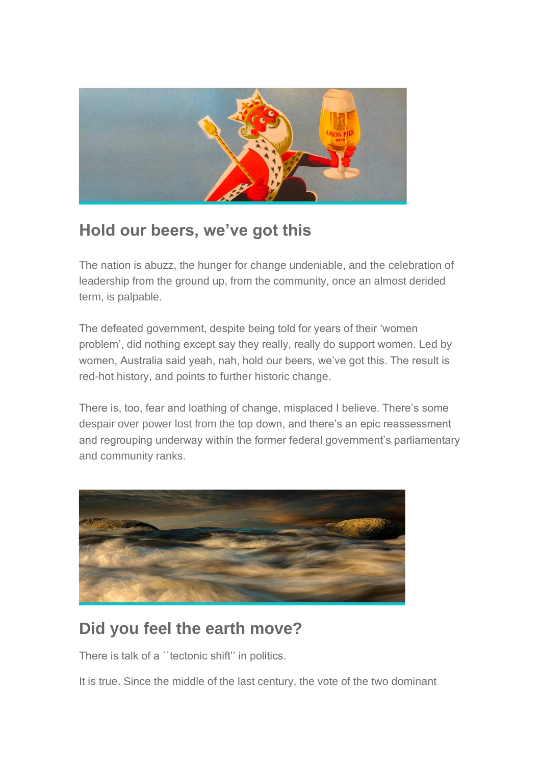

### **Hold our beers, we've got this**

The nation is abuzz, the hunger for change undeniable, and the celebration of leadership from the ground up, from the community, once an almost derided term, is palpable.

The defeated government, despite being told for years of their 'women problem', did nothing except say they really, really do support women. Led by women, Australia said yeah, nah, hold our beers, we've got this. The result is red-hot history, and points to further historic change.

There is, too, fear and loathing of change, misplaced I believe. There's some despair over power lost from the top down, and there's an epic reassessment and regrouping underway within the former federal government's parliamentary and community ranks.



### **Did you feel the earth move?**

There is talk of a "tectonic shift" in politics.

It is true. Since the middle of the last century, the vote of the two dominant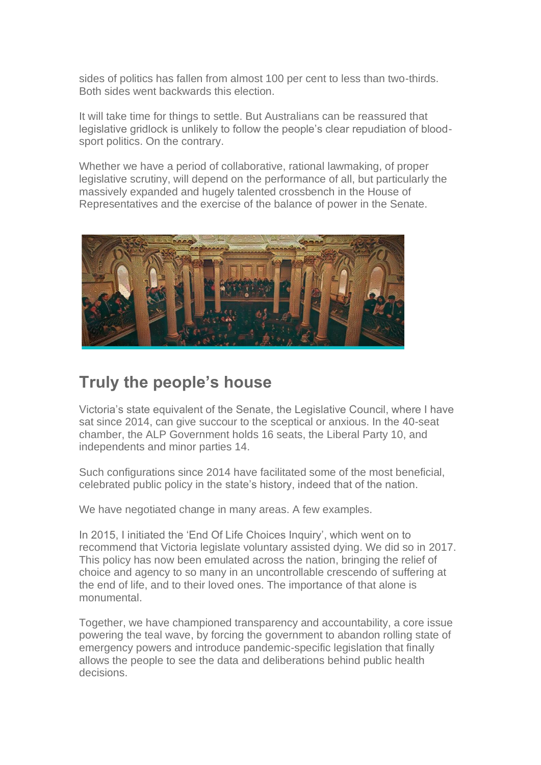sides of politics has fallen from almost 100 per cent to less than two-thirds. Both sides went backwards this election.

It will take time for things to settle. But Australians can be reassured that legislative gridlock is unlikely to follow the people's clear repudiation of bloodsport politics. On the contrary.

Whether we have a period of collaborative, rational lawmaking, of proper legislative scrutiny, will depend on the performance of all, but particularly the massively expanded and hugely talented crossbench in the House of Representatives and the exercise of the balance of power in the Senate.



#### **Truly the people's house**

Victoria's state equivalent of the Senate, the Legislative Council, where I have sat since 2014, can give succour to the sceptical or anxious. In the 40-seat chamber, the ALP Government holds 16 seats, the Liberal Party 10, and independents and minor parties 14.

Such configurations since 2014 have facilitated some of the most beneficial, celebrated public policy in the state's history, indeed that of the nation.

We have negotiated change in many areas. A few examples.

In 2015, I initiated the 'End Of Life Choices Inquiry', which went on to recommend that Victoria legislate voluntary assisted dying. We did so in 2017. This policy has now been emulated across the nation, bringing the relief of choice and agency to so many in an uncontrollable crescendo of suffering at the end of life, and to their loved ones. The importance of that alone is monumental.

Together, we have championed transparency and accountability, a core issue powering the teal wave, by forcing the government to abandon rolling state of emergency powers and introduce pandemic-specific legislation that finally allows the people to see the data and deliberations behind public health decisions.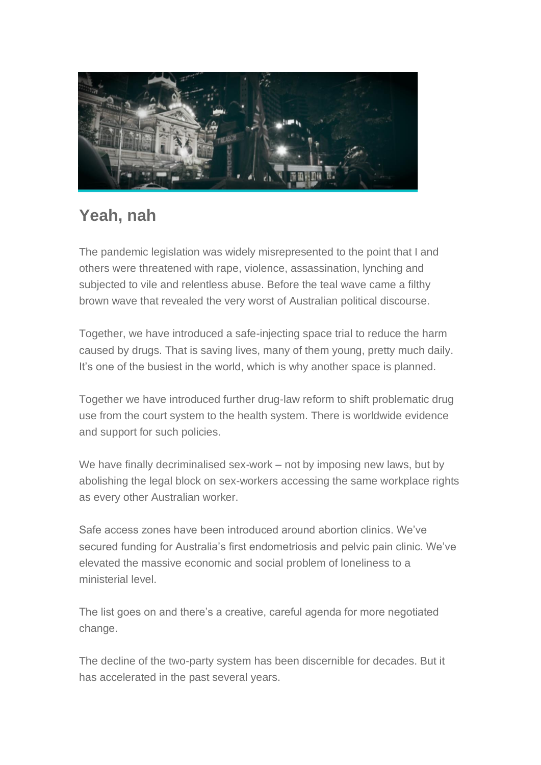

### **Yeah, nah**

The pandemic legislation was widely misrepresented to the point that I and others were threatened with rape, violence, assassination, lynching and subjected to vile and relentless abuse. Before the teal wave came a filthy brown wave that revealed the very worst of Australian political discourse.

Together, we have introduced a safe-injecting space trial to reduce the harm caused by drugs. That is saving lives, many of them young, pretty much daily. It's one of the busiest in the world, which is why another space is planned.

Together we have introduced further drug-law reform to shift problematic drug use from the court system to the health system. There is worldwide evidence and support for such policies.

We have finally decriminalised sex-work – not by imposing new laws, but by abolishing the legal block on sex-workers accessing the same workplace rights as every other Australian worker.

Safe access zones have been introduced around abortion clinics. We've secured funding for Australia's first endometriosis and pelvic pain clinic. We've elevated the massive economic and social problem of loneliness to a ministerial level.

The list goes on and there's a creative, careful agenda for more negotiated change.

The decline of the two-party system has been discernible for decades. But it has accelerated in the past several years.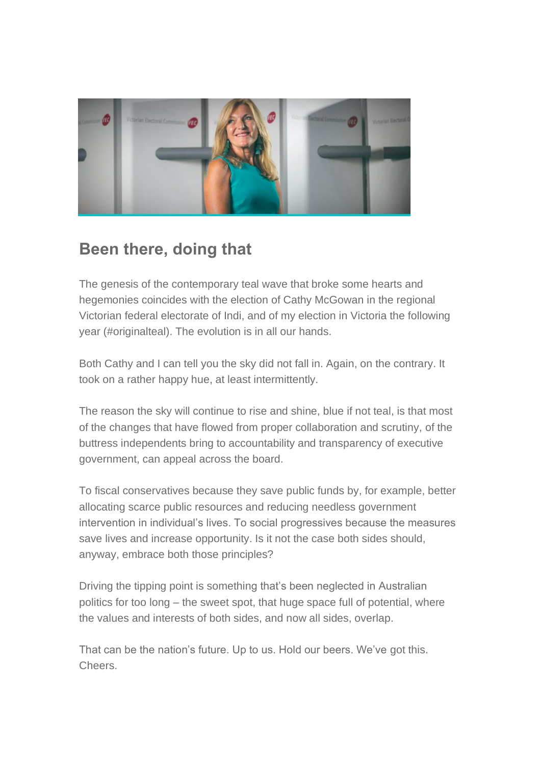

## **Been there, doing that**

The genesis of the contemporary teal wave that broke some hearts and hegemonies coincides with the election of Cathy McGowan in the regional Victorian federal electorate of Indi, and of my election in Victoria the following year (#originalteal). The evolution is in all our hands.

Both Cathy and I can tell you the sky did not fall in. Again, on the contrary. It took on a rather happy hue, at least intermittently.

The reason the sky will continue to rise and shine, blue if not teal, is that most of the changes that have flowed from proper collaboration and scrutiny, of the buttress independents bring to accountability and transparency of executive government, can appeal across the board.

To fiscal conservatives because they save public funds by, for example, better allocating scarce public resources and reducing needless government intervention in individual's lives. To social progressives because the measures save lives and increase opportunity. Is it not the case both sides should, anyway, embrace both those principles?

Driving the tipping point is something that's been neglected in Australian politics for too long – the sweet spot, that huge space full of potential, where the values and interests of both sides, and now all sides, overlap.

That can be the nation's future. Up to us. Hold our beers. We've got this. Cheers.